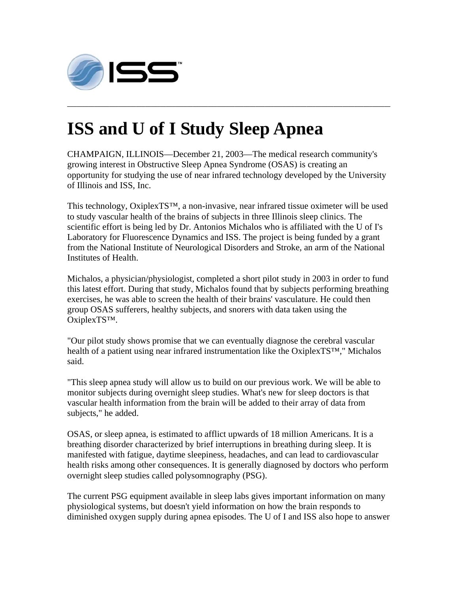

## **ISS and U of I Study Sleep Apnea**

CHAMPAIGN, ILLINOIS—December 21, 2003—The medical research community's growing interest in Obstructive Sleep Apnea Syndrome (OSAS) is creating an opportunity for studying the use of near infrared technology developed by the University of Illinois and ISS, Inc.

**\_\_\_\_\_\_\_\_\_\_\_\_\_\_\_\_\_\_\_\_\_\_\_\_\_\_\_\_\_\_\_\_\_\_\_\_\_\_\_\_\_\_\_\_\_\_\_\_\_\_\_\_\_\_\_\_\_\_\_\_\_\_\_\_\_\_\_\_\_\_\_\_\_\_\_\_\_\_\_\_\_\_\_\_\_\_\_\_\_\_\_\_\_\_\_\_\_\_\_\_\_\_\_\_\_\_\_\_** 

This technology, OxiplexTS™, a non-invasive, near infrared tissue oximeter will be used to study vascular health of the brains of subjects in three Illinois sleep clinics. The scientific effort is being led by Dr. Antonios Michalos who is affiliated with the U of I's Laboratory for Fluorescence Dynamics and ISS. The project is being funded by a grant from the National Institute of Neurological Disorders and Stroke, an arm of the National Institutes of Health.

Michalos, a physician/physiologist, completed a short pilot study in 2003 in order to fund this latest effort. During that study, Michalos found that by subjects performing breathing exercises, he was able to screen the health of their brains' vasculature. He could then group OSAS sufferers, healthy subjects, and snorers with data taken using the OxiplexTS™.

"Our pilot study shows promise that we can eventually diagnose the cerebral vascular health of a patient using near infrared instrumentation like the OxiplexTS™," Michalos said.

"This sleep apnea study will allow us to build on our previous work. We will be able to monitor subjects during overnight sleep studies. What's new for sleep doctors is that vascular health information from the brain will be added to their array of data from subjects," he added.

OSAS, or sleep apnea, is estimated to afflict upwards of 18 million Americans. It is a breathing disorder characterized by brief interruptions in breathing during sleep. It is manifested with fatigue, daytime sleepiness, headaches, and can lead to cardiovascular health risks among other consequences. It is generally diagnosed by doctors who perform overnight sleep studies called polysomnography (PSG).

The current PSG equipment available in sleep labs gives important information on many physiological systems, but doesn't yield information on how the brain responds to diminished oxygen supply during apnea episodes. The U of I and ISS also hope to answer